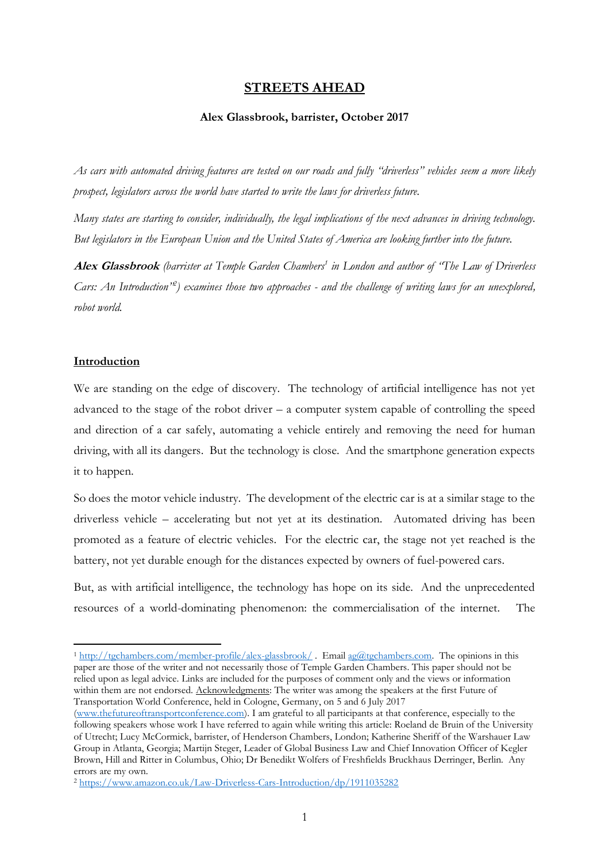# **STREETS AHEAD**

#### **Alex Glassbrook, barrister, October 2017**

*As cars with automated driving features are tested on our roads and fully "driverless" vehicles seem a more likely prospect, legislators across the world have started to write the laws for driverless future.* 

*Many states are starting to consider, individually, the legal implications of the next advances in driving technology. But legislators in the European Union and the United States of America are looking further into the future.* 

**Alex Glassbrook** *(barrister at Temple Garden Chambers<sup>1</sup> in London and author of "The Law of Driverless Cars: An Introduction"<sup>2</sup> ) examines those two approaches - and the challenge of writing laws for an unexplored, robot world.*

#### **Introduction**

 $\overline{a}$ 

We are standing on the edge of discovery. The technology of artificial intelligence has not yet advanced to the stage of the robot driver  $-$  a computer system capable of controlling the speed and direction of a car safely, automating a vehicle entirely and removing the need for human driving, with all its dangers. But the technology is close. And the smartphone generation expects it to happen.

So does the motor vehicle industry. The development of the electric car is at a similar stage to the driverless vehicle – accelerating but not yet at its destination. Automated driving has been promoted as a feature of electric vehicles. For the electric car, the stage not yet reached is the battery, not yet durable enough for the distances expected by owners of fuel-powered cars.

But, as with artificial intelligence, the technology has hope on its side. And the unprecedented resources of a world-dominating phenomenon: the commercialisation of the internet. The

<sup>&</sup>lt;sup>1</sup> <http://tgchambers.com/member-profile/alex-glassbrook/>. Email [ag@tgchambers.com.](mailto:ag@tgchambers.com) The opinions in this paper are those of the writer and not necessarily those of Temple Garden Chambers. This paper should not be relied upon as legal advice. Links are included for the purposes of comment only and the views or information within them are not endorsed. Acknowledgments: The writer was among the speakers at the first Future of Transportation World Conference, held in Cologne, Germany, on 5 and 6 July 2017

[<sup>\(</sup>www.thefutureoftransportconference.com\)](http://www.thefutureoftransportconference.com/). I am grateful to all participants at that conference, especially to the following speakers whose work I have referred to again while writing this article: Roeland de Bruin of the University of Utrecht; Lucy McCormick, barrister, of Henderson Chambers, London; Katherine Sheriff of the Warshauer Law Group in Atlanta, Georgia; Martijn Steger, Leader of Global Business Law and Chief Innovation Officer of Kegler Brown, Hill and Ritter in Columbus, Ohio; Dr Benedikt Wolfers of Freshfields Bruckhaus Derringer, Berlin. Any errors are my own.

<sup>2</sup> <https://www.amazon.co.uk/Law-Driverless-Cars-Introduction/dp/1911035282>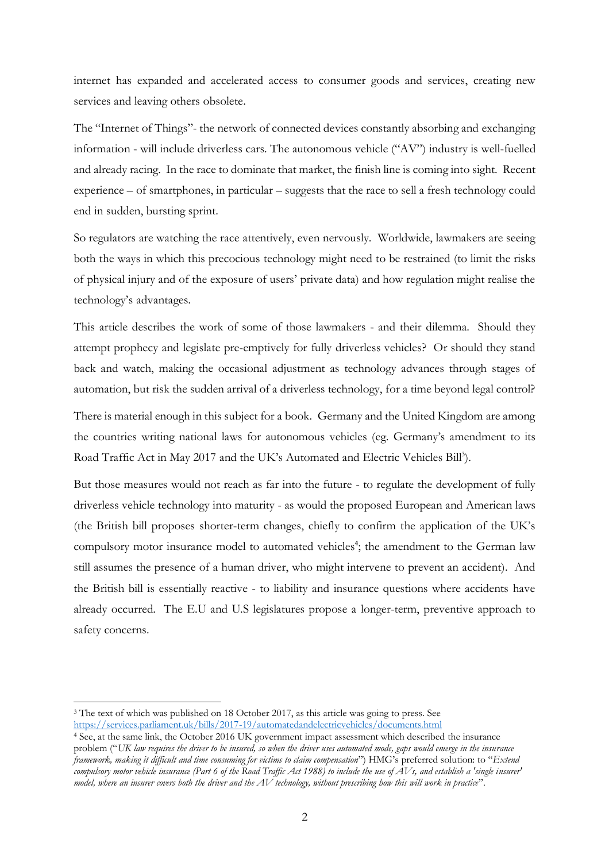internet has expanded and accelerated access to consumer goods and services, creating new services and leaving others obsolete.

The "Internet of Things"- the network of connected devices constantly absorbing and exchanging information - will include driverless cars. The autonomous vehicle ("AV") industry is well-fuelled and already racing. In the race to dominate that market, the finish line is coming into sight. Recent experience – of smartphones, in particular – suggests that the race to sell a fresh technology could end in sudden, bursting sprint.

So regulators are watching the race attentively, even nervously. Worldwide, lawmakers are seeing both the ways in which this precocious technology might need to be restrained (to limit the risks of physical injury and of the exposure of users' private data) and how regulation might realise the technology's advantages.

This article describes the work of some of those lawmakers - and their dilemma. Should they attempt prophecy and legislate pre-emptively for fully driverless vehicles? Or should they stand back and watch, making the occasional adjustment as technology advances through stages of automation, but risk the sudden arrival of a driverless technology, for a time beyond legal control?

There is material enough in this subject for a book. Germany and the United Kingdom are among the countries writing national laws for autonomous vehicles (eg. Germany's amendment to its Road Traffic Act in May 2017 and the UK's Automated and Electric Vehicles Bill<sup>3</sup>).

But those measures would not reach as far into the future - to regulate the development of fully driverless vehicle technology into maturity - as would the proposed European and American laws (the British bill proposes shorter-term changes, chiefly to confirm the application of the UK's compulsory motor insurance model to automated vehicles<sup>4</sup>; the amendment to the German law still assumes the presence of a human driver, who might intervene to prevent an accident). And the British bill is essentially reactive - to liability and insurance questions where accidents have already occurred. The E.U and U.S legislatures propose a longer-term, preventive approach to safety concerns.

<sup>3</sup> The text of which was published on 18 October 2017, as this article was going to press. See <https://services.parliament.uk/bills/2017-19/automatedandelectricvehicles/documents.html>

<sup>4</sup> See, at the same link, the October 2016 UK government impact assessment which described the insurance problem ("*UK law requires the driver to be insured, so when the driver uses automated mode, gaps would emerge in the insurance framework, making it difficult and time consuming for victims to claim compensation*") HMG's preferred solution: to "*Extend compulsory motor vehicle insurance (Part 6 of the Road Traffic Act 1988) to include the use of AVs, and establish a 'single insurer' model, where an insurer covers both the driver and the AV technology, without prescribing how this will work in practice*".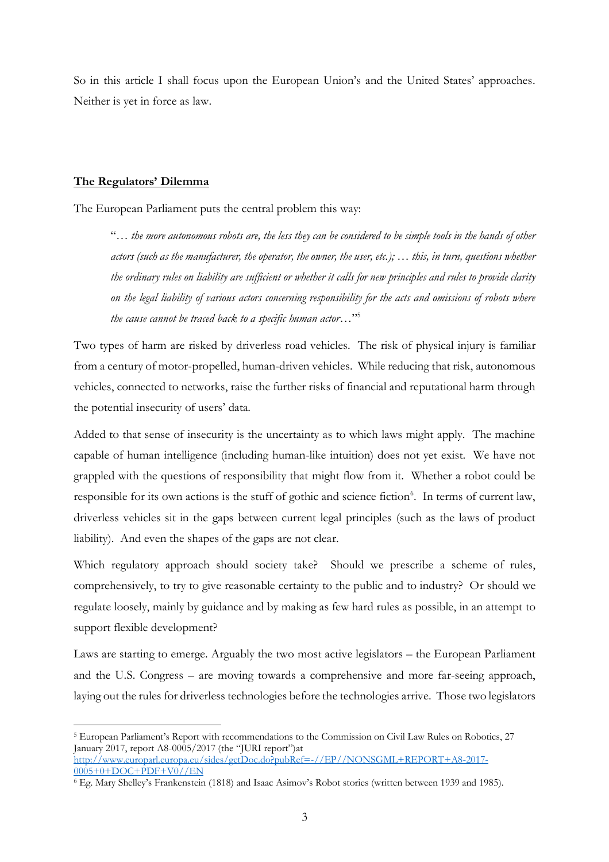So in this article I shall focus upon the European Union's and the United States' approaches. Neither is yet in force as law.

### **The Regulators' Dilemma**

 $\overline{a}$ 

The European Parliament puts the central problem this way:

"*… the more autonomous robots are, the less they can be considered to be simple tools in the hands of other actors (such as the manufacturer, the operator, the owner, the user, etc.); … this, in turn, questions whether the ordinary rules on liability are sufficient or whether it calls for new principles and rules to provide clarity on the legal liability of various actors concerning responsibility for the acts and omissions of robots where the cause cannot be traced back to a specific human actor…*" 5

Two types of harm are risked by driverless road vehicles. The risk of physical injury is familiar from a century of motor-propelled, human-driven vehicles. While reducing that risk, autonomous vehicles, connected to networks, raise the further risks of financial and reputational harm through the potential insecurity of users' data.

Added to that sense of insecurity is the uncertainty as to which laws might apply. The machine capable of human intelligence (including human-like intuition) does not yet exist. We have not grappled with the questions of responsibility that might flow from it. Whether a robot could be responsible for its own actions is the stuff of gothic and science fiction<sup>6</sup>. In terms of current law, driverless vehicles sit in the gaps between current legal principles (such as the laws of product liability). And even the shapes of the gaps are not clear.

Which regulatory approach should society take? Should we prescribe a scheme of rules, comprehensively, to try to give reasonable certainty to the public and to industry? Or should we regulate loosely, mainly by guidance and by making as few hard rules as possible, in an attempt to support flexible development?

Laws are starting to emerge. Arguably the two most active legislators – the European Parliament and the U.S. Congress – are moving towards a comprehensive and more far-seeing approach, laying out the rules for driverless technologies before the technologies arrive. Those two legislators

<sup>5</sup> European Parliament's Report with recommendations to the Commission on Civil Law Rules on Robotics, 27 January 2017, report A8-0005/2017 (the "JURI report")at [http://www.europarl.europa.eu/sides/getDoc.do?pubRef=-//EP//NONSGML+REPORT+A8-2017-](http://www.europarl.europa.eu/sides/getDoc.do?pubRef=-//EP//NONSGML+REPORT+A8-2017-0005+0+DOC+PDF+V0//EN) [0005+0+DOC+PDF+V0//EN](http://www.europarl.europa.eu/sides/getDoc.do?pubRef=-//EP//NONSGML+REPORT+A8-2017-0005+0+DOC+PDF+V0//EN)

<sup>6</sup> Eg. Mary Shelley's Frankenstein (1818) and Isaac Asimov's Robot stories (written between 1939 and 1985).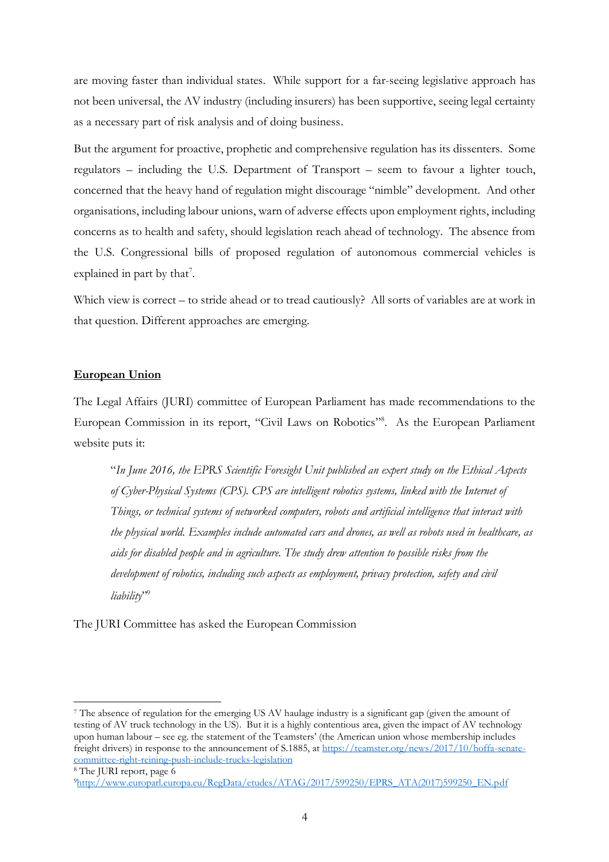are moving faster than individual states. While support for a far-seeing legislative approach has not been universal, the AV industry (including insurers) has been supportive, seeing legal certainty as a necessary part of risk analysis and of doing business.

But the argument for proactive, prophetic and comprehensive regulation has its dissenters. Some regulators – including the U.S. Department of Transport – seem to favour a lighter touch, concerned that the heavy hand of regulation might discourage "nimble" development. And other organisations, including labour unions, warn of adverse effects upon employment rights, including concerns as to health and safety, should legislation reach ahead of technology. The absence from the U.S. Congressional bills of proposed regulation of autonomous commercial vehicles is explained in part by that<sup>7</sup>.

Which view is correct – to stride ahead or to tread cautiously? All sorts of variables are at work in that question. Different approaches are emerging.

### **European Union**

The Legal Affairs (JURI) committee of European Parliament has made recommendations to the European Commission in its report, "Civil Laws on Robotics" 8 . As the European Parliament website puts it:

"*In June 2016, the EPRS Scientific Foresight Unit published an expert study on the Ethical Aspects of Cyber-Physical Systems (CPS). CPS are intelligent robotics systems, linked with the Internet of Things, or technical systems of networked computers, robots and artificial intelligence that interact with the physical world. Examples include automated cars and drones, as well as robots used in healthcare, as aids for disabled people and in agriculture. The study drew attention to possible risks from the development of robotics, including such aspects as employment, privacy protection, safety and civil liability*" 9

The JURI Committee has asked the European Commission

<sup>7</sup> The absence of regulation for the emerging US AV haulage industry is a significant gap (given the amount of testing of AV truck technology in the US). But it is a highly contentious area, given the impact of AV technology upon human labour – see eg. the statement of the Teamsters' (the American union whose membership includes freight drivers) in response to the announcement of S.1885, at [https://teamster.org/news/2017/10/hoffa-senate](https://teamster.org/news/2017/10/hoffa-senate-committee-right-reining-push-include-trucks-legislation)[committee-right-reining-push-include-trucks-legislation](https://teamster.org/news/2017/10/hoffa-senate-committee-right-reining-push-include-trucks-legislation)

<sup>8</sup> The JURI report, page 6

<sup>9</sup>[http://www.europarl.europa.eu/RegData/etudes/ATAG/2017/599250/EPRS\\_ATA\(2017\)599250\\_EN.pdf](http://www.europarl.europa.eu/RegData/etudes/ATAG/2017/599250/EPRS_ATA(2017)599250_EN.pdf)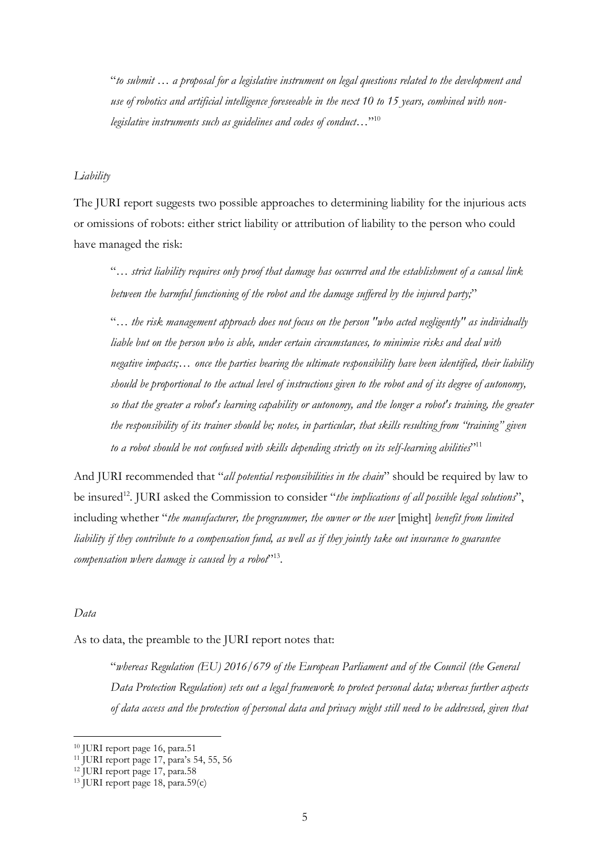"*to submit … a proposal for a legislative instrument on legal questions related to the development and use of robotics and artificial intelligence foreseeable in the next 10 to 15 years, combined with nonlegislative instruments such as guidelines and codes of conduct…*" 10

## *Liability*

The JURI report suggests two possible approaches to determining liability for the injurious acts or omissions of robots: either strict liability or attribution of liability to the person who could have managed the risk:

"*… strict liability requires only proof that damage has occurred and the establishment of a causal link between the harmful functioning of the robot and the damage suffered by the injured party;*"

"*… the risk management approach does not focus on the person "who acted negligently" as individually liable but on the person who is able, under certain circumstances, to minimise risks and deal with negative impacts;… once the parties bearing the ultimate responsibility have been identified, their liability should be proportional to the actual level of instructions given to the robot and of its degree of autonomy, so that the greater a robot's learning capability or autonomy, and the longer a robot's training, the greater the responsibility of its trainer should be; notes, in particular, that skills resulting from "training" given to a robot should be not confused with skills depending strictly on its self-learning abilities*" 11

And JURI recommended that "*all potential responsibilities in the chain*" should be required by law to be insured<sup>12</sup>. JURI asked the Commission to consider "*the implications of all possible legal solutions*", including whether "*the manufacturer, the programmer, the owner or the user* [might] *benefit from limited liability if they contribute to a compensation fund, as well as if they jointly take out insurance to guarantee compensation where damage is caused by a robot*" 13 .

## *Data*

 $\overline{a}$ 

As to data, the preamble to the JURI report notes that:

"*whereas Regulation (EU) 2016/679 of the European Parliament and of the Council (the General Data Protection Regulation) sets out a legal framework to protect personal data; whereas further aspects of data access and the protection of personal data and privacy might still need to be addressed, given that* 

<sup>10</sup> JURI report page 16, para.51

<sup>11</sup> JURI report page 17, para's 54, 55, 56

<sup>12</sup> JURI report page 17, para.58

<sup>13</sup> JURI report page 18, para.59(c)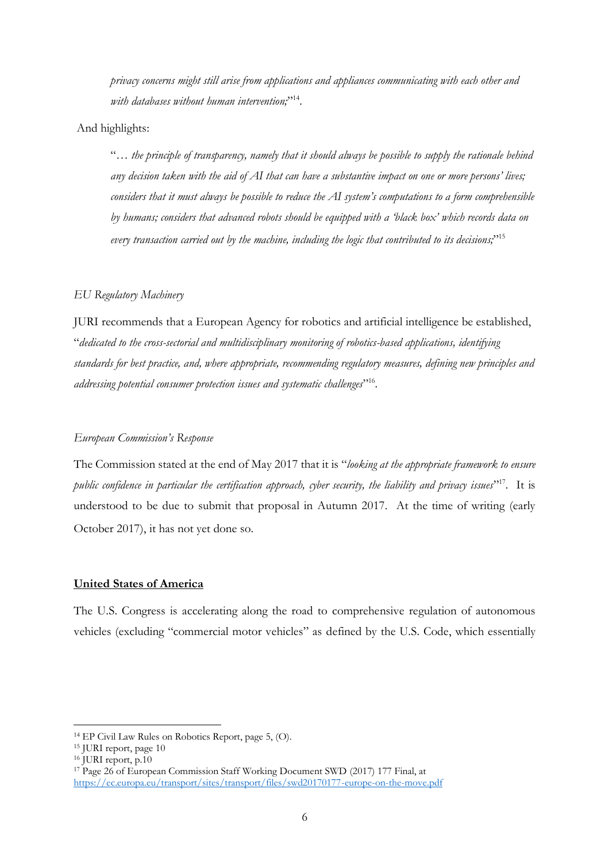*privacy concerns might still arise from applications and appliances communicating with each other and*  with databases without human intervention;"<sup>14</sup>.

## And highlights:

"*… the principle of transparency, namely that it should always be possible to supply the rationale behind any decision taken with the aid of AI that can have a substantive impact on one or more persons' lives; considers that it must always be possible to reduce the AI system's computations to a form comprehensible by humans; considers that advanced robots should be equipped with a 'black box' which records data on every transaction carried out by the machine, including the logic that contributed to its decisions;*" 15

### *EU Regulatory Machinery*

JURI recommends that a European Agency for robotics and artificial intelligence be established, "*dedicated to the cross-sectorial and multidisciplinary monitoring of robotics-based applications, identifying standards for best practice, and, where appropriate, recommending regulatory measures, defining new principles and addressing potential consumer protection issues and systematic challenges*" 16 .

## *European Commission's Response*

The Commission stated at the end of May 2017 that it is "*looking at the appropriate framework to ensure public confidence in particular the certification approach, cyber security, the liability and privacy issues*" <sup>17</sup>. It is understood to be due to submit that proposal in Autumn 2017. At the time of writing (early October 2017), it has not yet done so.

#### **United States of America**

The U.S. Congress is accelerating along the road to comprehensive regulation of autonomous vehicles (excluding "commercial motor vehicles" as defined by the U.S. Code, which essentially

<sup>14</sup> EP Civil Law Rules on Robotics Report, page 5, (O).

<sup>15</sup> JURI report, page 10

<sup>&</sup>lt;sup>16</sup> JURI report, p.10

<sup>17</sup> Page 26 of European Commission Staff Working Document SWD (2017) 177 Final, at <https://ec.europa.eu/transport/sites/transport/files/swd20170177-europe-on-the-move.pdf>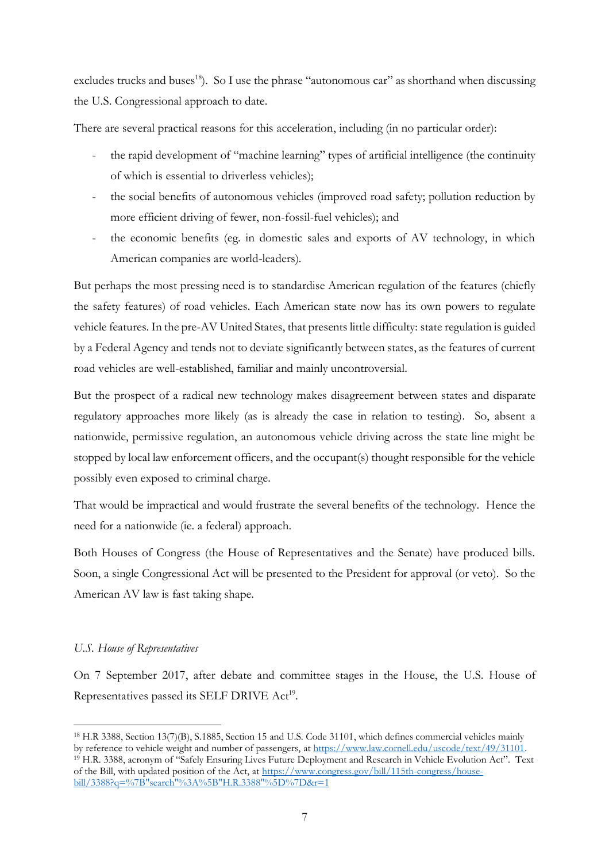excludes trucks and buses<sup>18</sup>). So I use the phrase "autonomous car" as shorthand when discussing the U.S. Congressional approach to date.

There are several practical reasons for this acceleration, including (in no particular order):

- the rapid development of "machine learning" types of artificial intelligence (the continuity of which is essential to driverless vehicles);
- the social benefits of autonomous vehicles (improved road safety; pollution reduction by more efficient driving of fewer, non-fossil-fuel vehicles); and
- the economic benefits (eg. in domestic sales and exports of AV technology, in which American companies are world-leaders).

But perhaps the most pressing need is to standardise American regulation of the features (chiefly the safety features) of road vehicles. Each American state now has its own powers to regulate vehicle features. In the pre-AV United States, that presents little difficulty: state regulation is guided by a Federal Agency and tends not to deviate significantly between states, as the features of current road vehicles are well-established, familiar and mainly uncontroversial.

But the prospect of a radical new technology makes disagreement between states and disparate regulatory approaches more likely (as is already the case in relation to testing). So, absent a nationwide, permissive regulation, an autonomous vehicle driving across the state line might be stopped by local law enforcement officers, and the occupant(s) thought responsible for the vehicle possibly even exposed to criminal charge.

That would be impractical and would frustrate the several benefits of the technology. Hence the need for a nationwide (ie. a federal) approach.

Both Houses of Congress (the House of Representatives and the Senate) have produced bills. Soon, a single Congressional Act will be presented to the President for approval (or veto). So the American AV law is fast taking shape.

# *U.S. House of Representatives*

 $\overline{a}$ 

On 7 September 2017, after debate and committee stages in the House, the U.S. House of Representatives passed its SELF DRIVE Act<sup>19</sup>.

<sup>18</sup> H.R 3388, Section 13(7)(B), S.1885, Section 15 and U.S. Code 31101, which defines commercial vehicles mainly by reference to vehicle weight and number of passengers, at [https://www.law.cornell.edu/uscode/text/49/31101.](https://www.law.cornell.edu/uscode/text/49/31101) <sup>19</sup> H.R. 3388, acronym of "Safely Ensuring Lives Future Deployment and Research in Vehicle Evolution Act". Text of the Bill, with updated position of the Act, at [https://www.congress.gov/bill/115th-congress/house](https://www.congress.gov/bill/115th-congress/house-bill/3388?q=%7B%22search%22%3A%5B%22H.R.3388%22%5D%7D&r=1)[bill/3388?q=%7B"search"%3A%5B"H.R.3388"%5D%7D&r=1](https://www.congress.gov/bill/115th-congress/house-bill/3388?q=%7B%22search%22%3A%5B%22H.R.3388%22%5D%7D&r=1)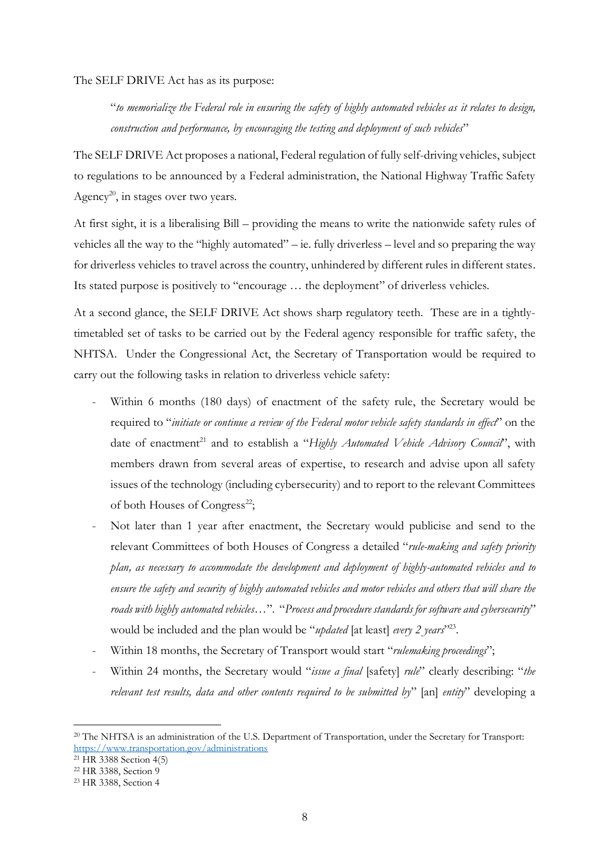The SELF DRIVE Act has as its purpose:

"*to memorialize the Federal role in ensuring the safety of highly automated vehicles as it relates to design, construction and performance, by encouraging the testing and deployment of such vehicles*"

The SELF DRIVE Act proposes a national, Federal regulation of fully self-driving vehicles, subject to regulations to be announced by a Federal administration, the National Highway Traffic Safety Agency<sup>20</sup>, in stages over two years.

At first sight, it is a liberalising Bill – providing the means to write the nationwide safety rules of vehicles all the way to the "highly automated" – ie. fully driverless – level and so preparing the way for driverless vehicles to travel across the country, unhindered by different rules in different states. Its stated purpose is positively to "encourage … the deployment" of driverless vehicles.

At a second glance, the SELF DRIVE Act shows sharp regulatory teeth. These are in a tightlytimetabled set of tasks to be carried out by the Federal agency responsible for traffic safety, the NHTSA. Under the Congressional Act, the Secretary of Transportation would be required to carry out the following tasks in relation to driverless vehicle safety:

- Within 6 months (180 days) of enactment of the safety rule, the Secretary would be required to "*initiate or continue a review of the Federal motor vehicle safety standards in effect*" on the date of enactment<sup>21</sup> and to establish a "*Highly Automated Vehicle Advisory Council*", with members drawn from several areas of expertise, to research and advise upon all safety issues of the technology (including cybersecurity) and to report to the relevant Committees of both Houses of Congress<sup>22</sup>;
- Not later than 1 year after enactment, the Secretary would publicise and send to the relevant Committees of both Houses of Congress a detailed "*rule-making and safety priority plan, as necessary to accommodate the development and deployment of highly-automated vehicles and to ensure the safety and security of highly automated vehicles and motor vehicles and others that will share the roads with highly automated vehicles…*". "*Process and procedure standards for software and cybersecurity*" would be included and the plan would be "*updated* [at least] every 2 years<sup>"223</sup>.
- Within 18 months, the Secretary of Transport would start "*rulemaking proceedings*";
- Within 24 months, the Secretary would "*issue a final* [safety] *rule*" clearly describing: "*the relevant test results, data and other contents required to be submitted by*" [an] *entity*" developing a

<sup>&</sup>lt;sup>20</sup> The NHTSA is an administration of the U.S. Department of Transportation, under the Secretary for Transport: <https://www.transportation.gov/administrations>

<sup>21</sup> HR 3388 Section 4(5)

<sup>22</sup> HR 3388, Section 9

<sup>23</sup> HR 3388, Section 4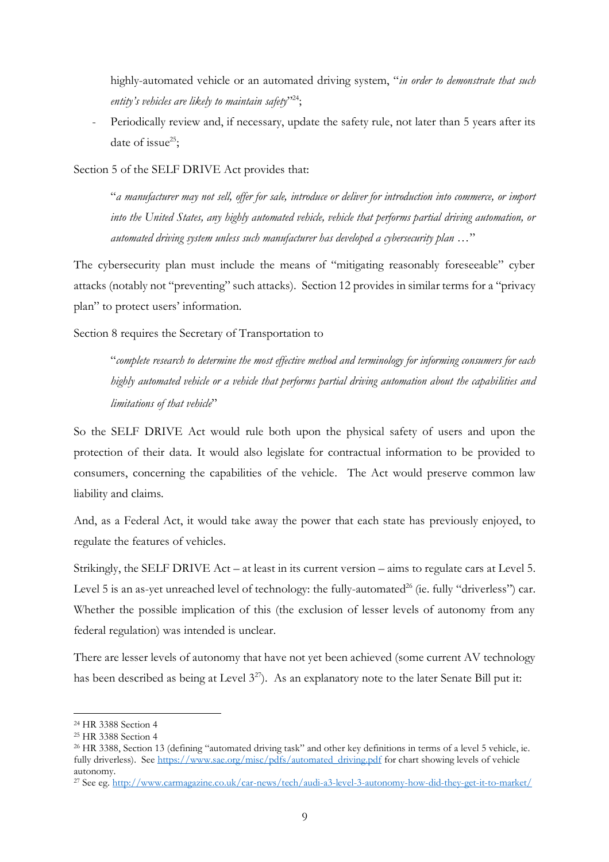highly-automated vehicle or an automated driving system, "*in order to demonstrate that such entity's vehicles are likely to maintain safety*" 24;

- Periodically review and, if necessary, update the safety rule, not later than 5 years after its date of issue $25$ ;

Section 5 of the SELF DRIVE Act provides that:

"*a manufacturer may not sell, offer for sale, introduce or deliver for introduction into commerce, or import into the United States, any highly automated vehicle, vehicle that performs partial driving automation, or automated driving system unless such manufacturer has developed a cybersecurity plan …*"

The cybersecurity plan must include the means of "mitigating reasonably foreseeable" cyber attacks (notably not "preventing" such attacks). Section 12 provides in similar terms for a "privacy plan" to protect users' information.

Section 8 requires the Secretary of Transportation to

"*complete research to determine the most effective method and terminology for informing consumers for each highly automated vehicle or a vehicle that performs partial driving automation about the capabilities and limitations of that vehicle*"

So the SELF DRIVE Act would rule both upon the physical safety of users and upon the protection of their data. It would also legislate for contractual information to be provided to consumers, concerning the capabilities of the vehicle. The Act would preserve common law liability and claims.

And, as a Federal Act, it would take away the power that each state has previously enjoyed, to regulate the features of vehicles.

Strikingly, the SELF DRIVE Act – at least in its current version – aims to regulate cars at Level 5. Level 5 is an as-yet unreached level of technology: the fully-automated<sup>26</sup> (ie. fully "driverless") car. Whether the possible implication of this (the exclusion of lesser levels of autonomy from any federal regulation) was intended is unclear.

There are lesser levels of autonomy that have not yet been achieved (some current AV technology has been described as being at Level  $3^{27}$ ). As an explanatory note to the later Senate Bill put it:

<sup>24</sup> HR 3388 Section 4

<sup>25</sup> HR 3388 Section 4

<sup>26</sup> HR 3388, Section 13 (defining "automated driving task" and other key definitions in terms of a level 5 vehicle, ie. fully driverless). Se[e https://www.sae.org/misc/pdfs/automated\\_driving.pdf](https://www.sae.org/misc/pdfs/automated_driving.pdf) for chart showing levels of vehicle autonomy.

<sup>27</sup> See eg[. http://www.carmagazine.co.uk/car-news/tech/audi-a3-level-3-autonomy-how-did-they-get-it-to-market/](http://www.carmagazine.co.uk/car-news/tech/audi-a3-level-3-autonomy-how-did-they-get-it-to-market/)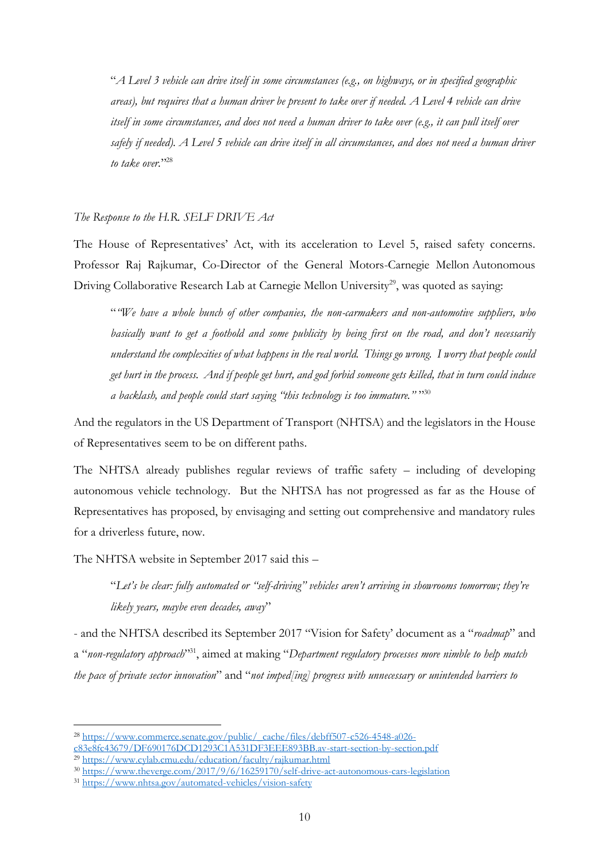"*A Level 3 vehicle can drive itself in some circumstances (e.g., on highways, or in specified geographic areas), but requires that a human driver be present to take over if needed. A Level 4 vehicle can drive itself in some circumstances, and does not need a human driver to take over (e.g., it can pull itself over safely if needed). A Level 5 vehicle can drive itself in all circumstances, and does not need a human driver to take over.*" 28

#### *The Response to the H.R. SELF DRIVE Act*

The House of Representatives' Act, with its acceleration to Level 5, raised safety concerns. Professor Raj Rajkumar, Co-Director of the General Motors-Carnegie Mellon Autonomous Driving Collaborative Research Lab at Carnegie Mellon University<sup>29</sup>, was quoted as saying:

"*"We have a whole bunch of other companies, the non-carmakers and non-automotive suppliers, who basically want to get a foothold and some publicity by being first on the road, and don't necessarily understand the complexities of what happens in the real world. Things go wrong. I worry that people could get hurt in the process. And if people get hurt, and god forbid someone gets killed, that in turn could induce a backlash, and people could start saying "this technology is too immature."* " 30

And the regulators in the US Department of Transport (NHTSA) and the legislators in the House of Representatives seem to be on different paths.

The NHTSA already publishes regular reviews of traffic safety – including of developing autonomous vehicle technology. But the NHTSA has not progressed as far as the House of Representatives has proposed, by envisaging and setting out comprehensive and mandatory rules for a driverless future, now.

The NHTSA website in September 2017 said this –

"*Let's be clear: fully automated or "self-driving" vehicles aren't arriving in showrooms tomorrow; they're likely years, maybe even decades, away*"

- and the NHTSA described its September 2017 "Vision for Safety' document as a "*roadmap*" and a "*non-regulatory approach*" <sup>31</sup>, aimed at making "*Department regulatory processes more nimble to help match the pace of private sector innovation*" and "*not imped[ing] progress with unnecessary or unintended barriers to* 

<sup>28</sup> [https://www.commerce.senate.gov/public/\\_cache/files/debff507-c526-4548-a026](https://www.commerce.senate.gov/public/_cache/files/debff507-c526-4548-a026-c83e8fc43679/DF690176DCD1293C1A531DF3EEE893BB.av-start-section-by-section.pdf) [c83e8fc43679/DF690176DCD1293C1A531DF3EEE893BB.av-start-section-by-section.pdf](https://www.commerce.senate.gov/public/_cache/files/debff507-c526-4548-a026-c83e8fc43679/DF690176DCD1293C1A531DF3EEE893BB.av-start-section-by-section.pdf)

<sup>29</sup> <https://www.cylab.cmu.edu/education/faculty/rajkumar.html>

<sup>30</sup> <https://www.theverge.com/2017/9/6/16259170/self-drive-act-autonomous-cars-legislation>

<sup>31</sup> <https://www.nhtsa.gov/automated-vehicles/vision-safety>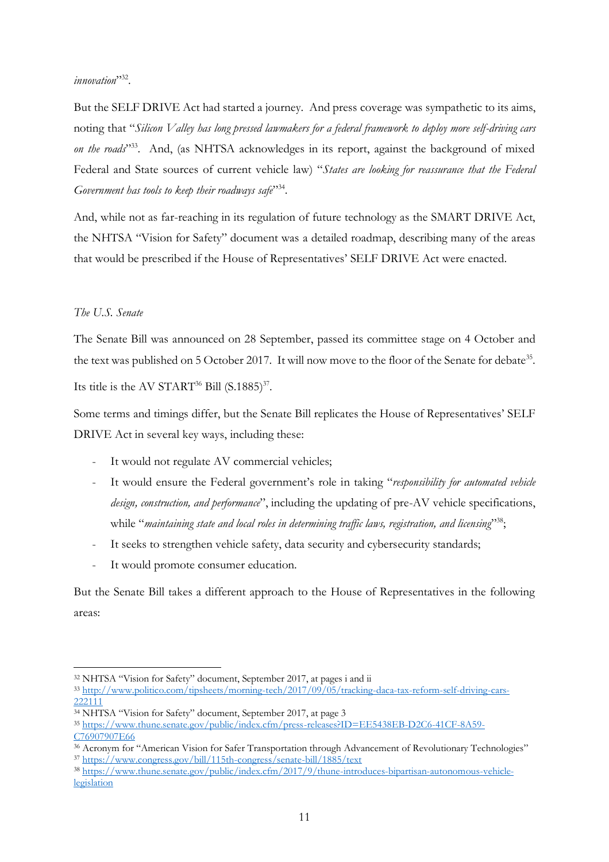## *innovation*" 32 .

But the SELF DRIVE Act had started a journey. And press coverage was sympathetic to its aims, noting that "*Silicon Valley has long pressed lawmakers for a federal framework to deploy more self-driving cars*  on the roads<sup>233</sup>. And, (as NHTSA acknowledges in its report, against the background of mixed Federal and State sources of current vehicle law) "*States are looking for reassurance that the Federal*  Government has tools to keep their roadways safe<sup>734</sup>.

And, while not as far-reaching in its regulation of future technology as the SMART DRIVE Act, the NHTSA "Vision for Safety" document was a detailed roadmap, describing many of the areas that would be prescribed if the House of Representatives' SELF DRIVE Act were enacted.

## *The U.S. Senate*

The Senate Bill was announced on 28 September, passed its committee stage on 4 October and the text was published on 5 October 2017. It will now move to the floor of the Senate for debate<sup>35</sup>. Its title is the AV START<sup>36</sup> Bill  $(S.1885)^{37}$ .

Some terms and timings differ, but the Senate Bill replicates the House of Representatives' SELF DRIVE Act in several key ways, including these:

- It would not regulate AV commercial vehicles;
- It would ensure the Federal government's role in taking "*responsibility for automated vehicle design, construction, and performance*", including the updating of pre-AV vehicle specifications, while "maintaining state and local roles in determining traffic laws, registration, and licensing<sup>138</sup>;
- It seeks to strengthen vehicle safety, data security and cybersecurity standards;
- It would promote consumer education.

But the Senate Bill takes a different approach to the House of Representatives in the following areas:

<sup>32</sup> NHTSA "Vision for Safety" document, September 2017, at pages i and ii

<sup>33</sup> [http://www.politico.com/tipsheets/morning-tech/2017/09/05/tracking-daca-tax-reform-self-driving-cars-](http://www.politico.com/tipsheets/morning-tech/2017/09/05/tracking-daca-tax-reform-self-driving-cars-222111)[222111](http://www.politico.com/tipsheets/morning-tech/2017/09/05/tracking-daca-tax-reform-self-driving-cars-222111)

<sup>34</sup> NHTSA "Vision for Safety" document, September 2017, at page 3

<sup>35</sup> [https://www.thune.senate.gov/public/index.cfm/press-releases?ID=EE5438EB-D2C6-41CF-8A59-](https://www.thune.senate.gov/public/index.cfm/press-releases?ID=EE5438EB-D2C6-41CF-8A59-C76907907E66)

[C76907907E66](https://www.thune.senate.gov/public/index.cfm/press-releases?ID=EE5438EB-D2C6-41CF-8A59-C76907907E66)

<sup>36</sup> Acronym for "American Vision for Safer Transportation through Advancement of Revolutionary Technologies" <sup>37</sup> <https://www.congress.gov/bill/115th-congress/senate-bill/1885/text>

<sup>38</sup> [https://www.thune.senate.gov/public/index.cfm/2017/9/thune-introduces-bipartisan-autonomous-vehicle](https://www.thune.senate.gov/public/index.cfm/2017/9/thune-introduces-bipartisan-autonomous-vehicle-legislation)[legislation](https://www.thune.senate.gov/public/index.cfm/2017/9/thune-introduces-bipartisan-autonomous-vehicle-legislation)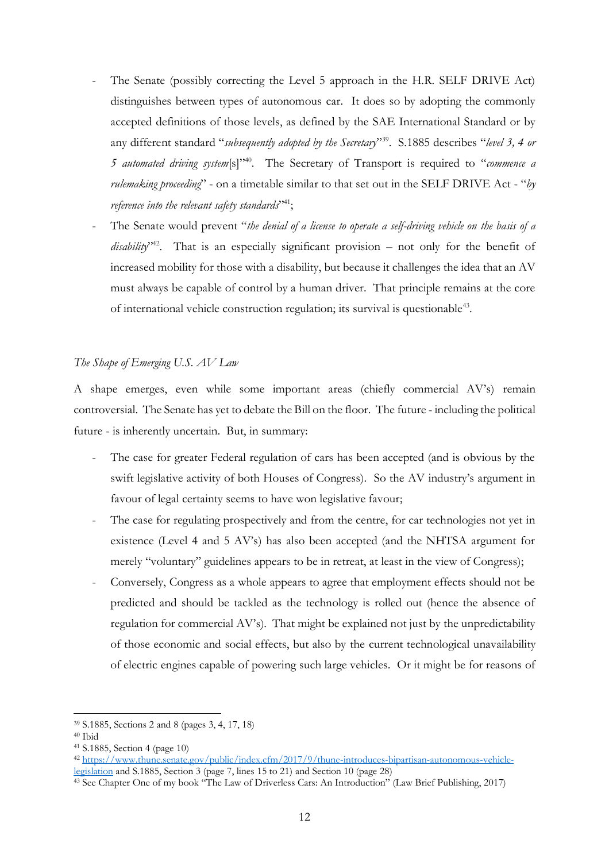- The Senate (possibly correcting the Level 5 approach in the H.R. SELF DRIVE Act) distinguishes between types of autonomous car. It does so by adopting the commonly accepted definitions of those levels, as defined by the SAE International Standard or by any different standard "*subsequently adopted by the Secretary*" <sup>39</sup>. S.1885 describes "*level 3, 4 or 5 automated driving system*[s]"<sup>40</sup>. The Secretary of Transport is required to "*commence a rulemaking proceeding*" - on a timetable similar to that set out in the SELF DRIVE Act - "*by reference into the relevant safety standards*" 41;
- The Senate would prevent "*the denial of a license to operate a self-driving vehicle on the basis of a* disability<sup>y42</sup>. That is an especially significant provision – not only for the benefit of increased mobility for those with a disability, but because it challenges the idea that an AV must always be capable of control by a human driver. That principle remains at the core of international vehicle construction regulation; its survival is questionable<sup>43</sup>.

## *The Shape of Emerging U.S. AV Law*

A shape emerges, even while some important areas (chiefly commercial AV's) remain controversial. The Senate has yet to debate the Bill on the floor. The future - including the political future - is inherently uncertain. But, in summary:

- The case for greater Federal regulation of cars has been accepted (and is obvious by the swift legislative activity of both Houses of Congress). So the AV industry's argument in favour of legal certainty seems to have won legislative favour;
- The case for regulating prospectively and from the centre, for car technologies not yet in existence (Level 4 and 5 AV's) has also been accepted (and the NHTSA argument for merely "voluntary" guidelines appears to be in retreat, at least in the view of Congress);
- Conversely, Congress as a whole appears to agree that employment effects should not be predicted and should be tackled as the technology is rolled out (hence the absence of regulation for commercial AV's). That might be explained not just by the unpredictability of those economic and social effects, but also by the current technological unavailability of electric engines capable of powering such large vehicles. Or it might be for reasons of

<sup>39</sup> S.1885, Sections 2 and 8 (pages 3, 4, 17, 18)

 $40$  Ibid

<sup>41</sup> S.1885, Section 4 (page 10)

<sup>42</sup> [https://www.thune.senate.gov/public/index.cfm/2017/9/thune-introduces-bipartisan-autonomous-vehicle](https://www.thune.senate.gov/public/index.cfm/2017/9/thune-introduces-bipartisan-autonomous-vehicle-legislation)[legislation](https://www.thune.senate.gov/public/index.cfm/2017/9/thune-introduces-bipartisan-autonomous-vehicle-legislation) and S.1885, Section 3 (page 7, lines 15 to 21) and Section 10 (page 28)

<sup>43</sup> See Chapter One of my book "The Law of Driverless Cars: An Introduction" (Law Brief Publishing, 2017)